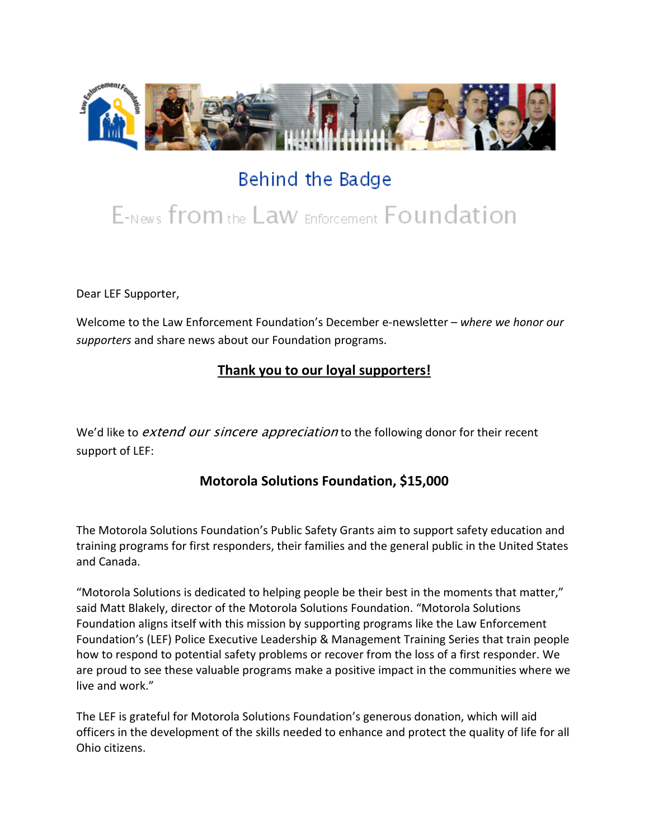

# Behind the Badge

# E-News from the Law Enforcement Foundation

Dear LEF Supporter,

Welcome to the Law Enforcement Foundation's December e-newsletter *– where we honor our supporters* and share news about our Foundation programs.

## **Thank you to our loyal supporters!**

We'd like to *extend our sincere appreciation* to the following donor for their recent support of LEF:

#### **Motorola Solutions Foundation, \$15,000**

The Motorola Solutions Foundation's Public Safety Grants aim to support safety education and training programs for first responders, their families and the general public in the United States and Canada.

"Motorola Solutions is dedicated to helping people be their best in the moments that matter," said Matt Blakely, director of the Motorola Solutions Foundation. "Motorola Solutions Foundation aligns itself with this mission by supporting programs like the Law Enforcement Foundation's (LEF) Police Executive Leadership & Management Training Series that train people how to respond to potential safety problems or recover from the loss of a first responder. We are proud to see these valuable programs make a positive impact in the communities where we live and work."

The LEF is grateful for Motorola Solutions Foundation's generous donation, which will aid officers in the development of the skills needed to enhance and protect the quality of life for all Ohio citizens.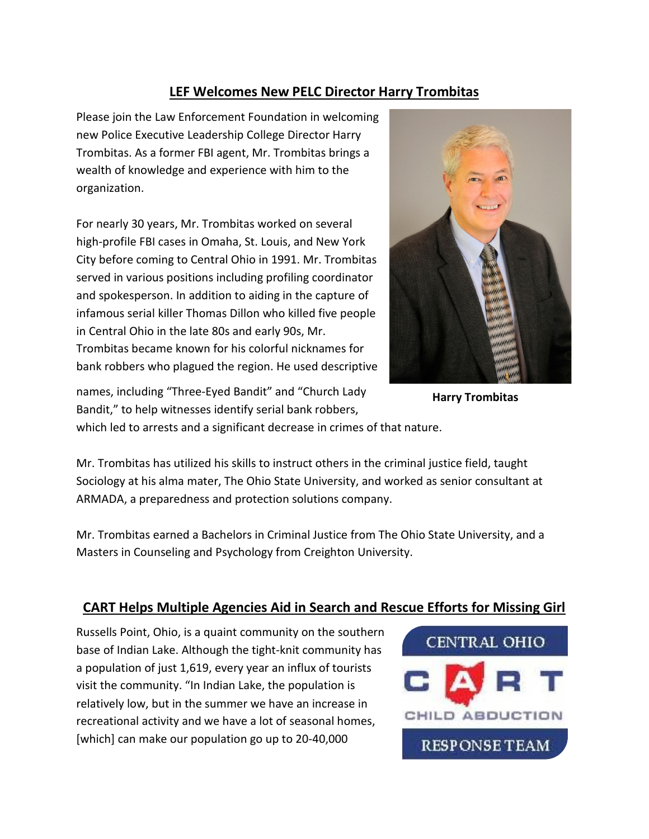#### **LEF Welcomes New PELC Director Harry Trombitas**

Please join the Law Enforcement Foundation in welcoming new Police Executive Leadership College Director Harry Trombitas. As a former FBI agent, Mr. Trombitas brings a wealth of knowledge and experience with him to the organization.

For nearly 30 years, Mr. Trombitas worked on several high-profile FBI cases in Omaha, St. Louis, and New York City before coming to Central Ohio in 1991. Mr. Trombitas served in various positions including profiling coordinator and spokesperson. In addition to aiding in the capture of infamous serial killer Thomas Dillon who killed five people in Central Ohio in the late 80s and early 90s, Mr. Trombitas became known for his colorful nicknames for bank robbers who plagued the region. He used descriptive



**Harry Trombitas**

names, including "Three-Eyed Bandit" and "Church Lady Bandit," to help witnesses identify serial bank robbers,

which led to arrests and a significant decrease in crimes of that nature.

Mr. Trombitas has utilized his skills to instruct others in the criminal justice field, taught Sociology at his alma mater, The Ohio State University, and worked as senior consultant at ARMADA, a preparedness and protection solutions company.

Mr. Trombitas earned a Bachelors in Criminal Justice from The Ohio State University, and a Masters in Counseling and Psychology from Creighton University.

## **CART Helps Multiple Agencies Aid in Search and Rescue Efforts for Missing Girl**

Russells Point, Ohio, is a quaint community on the southern base of Indian Lake. Although the tight-knit community has a population of just 1,619, every year an influx of tourists visit the community. "In Indian Lake, the population is relatively low, but in the summer we have an increase in recreational activity and we have a lot of seasonal homes, [which] can make our population go up to 20-40,000

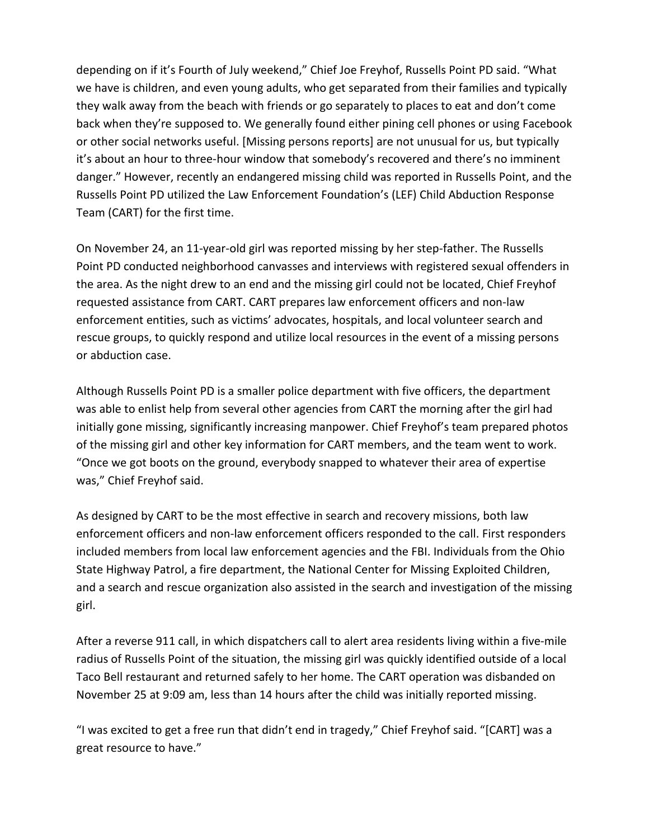depending on if it's Fourth of July weekend," Chief Joe Freyhof, Russells Point PD said. "What we have is children, and even young adults, who get separated from their families and typically they walk away from the beach with friends or go separately to places to eat and don't come back when they're supposed to. We generally found either pining cell phones or using Facebook or other social networks useful. [Missing persons reports] are not unusual for us, but typically it's about an hour to three-hour window that somebody's recovered and there's no imminent danger." However, recently an endangered missing child was reported in Russells Point, and the Russells Point PD utilized the Law Enforcement Foundation's (LEF) Child Abduction Response Team (CART) for the first time.

On November 24, an 11-year-old girl was reported missing by her step-father. The Russells Point PD conducted neighborhood canvasses and interviews with registered sexual offenders in the area. As the night drew to an end and the missing girl could not be located, Chief Freyhof requested assistance from CART. CART prepares law enforcement officers and non-law enforcement entities, such as victims' advocates, hospitals, and local volunteer search and rescue groups, to quickly respond and utilize local resources in the event of a missing persons or abduction case.

Although Russells Point PD is a smaller police department with five officers, the department was able to enlist help from several other agencies from CART the morning after the girl had initially gone missing, significantly increasing manpower. Chief Freyhof's team prepared photos of the missing girl and other key information for CART members, and the team went to work. "Once we got boots on the ground, everybody snapped to whatever their area of expertise was," Chief Freyhof said.

As designed by CART to be the most effective in search and recovery missions, both law enforcement officers and non-law enforcement officers responded to the call. First responders included members from local law enforcement agencies and the FBI. Individuals from the Ohio State Highway Patrol, a fire department, the National Center for Missing Exploited Children, and a search and rescue organization also assisted in the search and investigation of the missing girl.

After a reverse 911 call, in which dispatchers call to alert area residents living within a five-mile radius of Russells Point of the situation, the missing girl was quickly identified outside of a local Taco Bell restaurant and returned safely to her home. The CART operation was disbanded on November 25 at 9:09 am, less than 14 hours after the child was initially reported missing.

"I was excited to get a free run that didn't end in tragedy," Chief Freyhof said. "[CART] was a great resource to have."